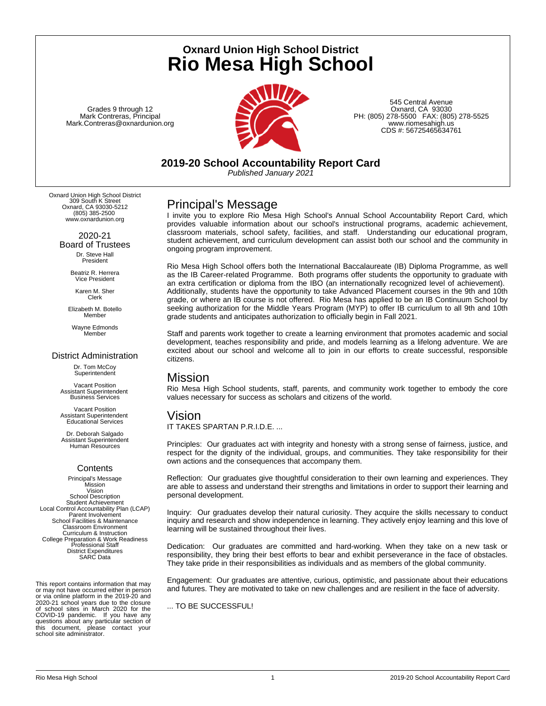**Oxnard Union High School District Rio Mesa High School**

Grades 9 through 12 Mark Contreras, Principal Mark.Contreras@oxnardunion.org



545 Central Avenue Oxnard, CA 93030 PH: (805) 278-5500 FAX: (805) 278-5525 www.riomesahigh.us CDS #: 56725465634761

**2019-20 School Accountability Report Card** *Published January 2021*

Oxnard Union High School District 309 South K Street Oxnard, CA 93030-5212 (805) 385-2500 www.oxnardunion.org

> 2020-21 Board of Trustees Dr. Steve Hall President

> > Beatriz R. Herrera Vice President

Karen M. Sher Clerk

Elizabeth M. Botello Member

Wayne Edmonds Member

## District Administration

Dr. Tom McCoy **Superintendent** 

Vacant Position Assistant Superintendent Business Services

Vacant Position Assistant Superintendent Educational Services

Dr. Deborah Salgado Assistant Superintendent Human Resources

## **Contents**

Principal's Message Mission Vision School Description Student Achievement Local Control Accountability Plan (LCAP) Parent Involvement School Facilities & Maintenance Classroom Environment Curriculum & Instruction College Preparation & Work Readiness Professional Staff District Expenditures SARC Data

This report contains information that may or may not have occurred either in person or via online platform in the 2019-20 and 2020-21 school years due to the closure of school sites in March 2020 for the COVID-19 pandemic. If you have any questions about any particular section of this document, please contact your school site administrator.

## Principal's Message

I invite you to explore Rio Mesa High School's Annual School Accountability Report Card, which provides valuable information about our school's instructional programs, academic achievement, classroom materials, school safety, facilities, and staff. Understanding our educational program, student achievement, and curriculum development can assist both our school and the community in ongoing program improvement.

Rio Mesa High School offers both the International Baccalaureate (IB) Diploma Programme, as well as the IB Career-related Programme. Both programs offer students the opportunity to graduate with an extra certification or diploma from the IBO (an internationally recognized level of achievement). Additionally, students have the opportunity to take Advanced Placement courses in the 9th and 10th grade, or where an IB course is not offered. Rio Mesa has applied to be an IB Continuum School by seeking authorization for the Middle Years Program (MYP) to offer IB curriculum to all 9th and 10th grade students and anticipates authorization to officially begin in Fall 2021.

Staff and parents work together to create a learning environment that promotes academic and social development, teaches responsibility and pride, and models learning as a lifelong adventure. We are excited about our school and welcome all to join in our efforts to create successful, responsible citizens.

# Mission

Rio Mesa High School students, staff, parents, and community work together to embody the core values necessary for success as scholars and citizens of the world.

## Vision

IT TAKES SPARTAN P.R.I.D.E. ...

Principles: Our graduates act with integrity and honesty with a strong sense of fairness, justice, and respect for the dignity of the individual, groups, and communities. They take responsibility for their own actions and the consequences that accompany them.

Reflection: Our graduates give thoughtful consideration to their own learning and experiences. They are able to assess and understand their strengths and limitations in order to support their learning and personal development.

Inquiry: Our graduates develop their natural curiosity. They acquire the skills necessary to conduct inquiry and research and show independence in learning. They actively enjoy learning and this love of learning will be sustained throughout their lives.

Dedication: Our graduates are committed and hard-working. When they take on a new task or responsibility, they bring their best efforts to bear and exhibit perseverance in the face of obstacles. They take pride in their responsibilities as individuals and as members of the global community.

Engagement: Our graduates are attentive, curious, optimistic, and passionate about their educations and futures. They are motivated to take on new challenges and are resilient in the face of adversity.

... TO BE SUCCESSFUL!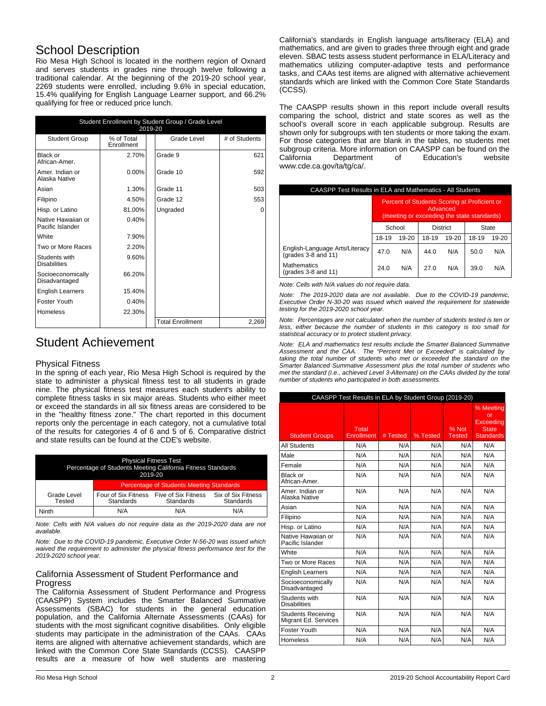# School Description

Rio Mesa High School is located in the northern region of Oxnard and serves students in grades nine through twelve following a traditional calendar. At the beginning of the 2019-20 school year, 2269 students were enrolled, including 9.6% in special education, 15.4% qualifying for English Language Learner support, and 66.2% qualifying for free or reduced price lunch.

| Student Enrollment by Student Group / Grade Level<br>2019-20 |                          |                         |               |  |  |
|--------------------------------------------------------------|--------------------------|-------------------------|---------------|--|--|
| <b>Student Group</b>                                         | % of Total<br>Enrollment | Grade Level             | # of Students |  |  |
| Black or<br>African-Amer.                                    | 2.70%                    | Grade 9                 | 621           |  |  |
| Amer. Indian or<br>Alaska Native                             | $0.00\%$                 | Grade 10                | 592           |  |  |
| Asian                                                        | 1.30%                    | Grade 11                | 503           |  |  |
| Filipino                                                     | 4.50%                    | Grade 12                | 553           |  |  |
| Hisp. or Latino                                              | 81.00%                   | Ungraded                | 0             |  |  |
| Native Hawaiian or<br>Pacific Islander                       | 0.40%                    |                         |               |  |  |
| White                                                        | 7.90%                    |                         |               |  |  |
| Two or More Races                                            | 2.20%                    |                         |               |  |  |
| Students with<br><b>Disabilities</b>                         | 9.60%                    |                         |               |  |  |
| Socioeconomically<br>Disadvantaged                           | 66.20%                   |                         |               |  |  |
| <b>English Learners</b>                                      | 15.40%                   |                         |               |  |  |
| Foster Youth                                                 | 0.40%                    |                         |               |  |  |
| <b>Homeless</b>                                              | 22.30%                   |                         |               |  |  |
|                                                              |                          | <b>Total Enrollment</b> | 2,269         |  |  |

# Student Achievement

### Physical Fitness

In the spring of each year, Rio Mesa High School is required by the state to administer a physical fitness test to all students in grade nine. The physical fitness test measures each student's ability to complete fitness tasks in six major areas. Students who either meet or exceed the standards in all six fitness areas are considered to be in the "healthy fitness zone." The chart reported in this document reports only the percentage in each category, not a cumulative total of the results for categories 4 of 6 and 5 of 6. Comparative district and state results can be found at the CDE's website.

| <b>Physical Fitness Test</b><br>Percentage of Students Meeting California Fitness Standards<br>2019-20 |                                                 |                                  |                                 |  |
|--------------------------------------------------------------------------------------------------------|-------------------------------------------------|----------------------------------|---------------------------------|--|
|                                                                                                        | <b>Percentage of Students Meeting Standards</b> |                                  |                                 |  |
| Grade Level<br>Tested                                                                                  | Four of Six Fitness<br><b>Standards</b>         | Five of Six Fitness<br>Standards | Six of Six Fitness<br>Standards |  |
| Ninth                                                                                                  | N/A                                             | N/A                              | N/A                             |  |

*Note: Cells with N/A values do not require data as the 2019-2020 data are not available.*

*Note: Due to the COVID-19 pandemic, Executive Order N-56-20 was issued which waived the requirement to administer the physical fitness performance test for the 2019-2020 school year.*

## California Assessment of Student Performance and Progress

The California Assessment of Student Performance and Progress (CAASPP) System includes the Smarter Balanced Summative Assessments (SBAC) for students in the general education population, and the California Alternate Assessments (CAAs) for students with the most significant cognitive disabilities. Only eligible students may participate in the administration of the CAAs. CAAs items are aligned with alternative achievement standards, which are linked with the Common Core State Standards (CCSS). CAASPP results are a measure of how well students are mastering

California's standards in English language arts/literacy (ELA) and mathematics, and are given to grades three through eight and grade eleven. SBAC tests assess student performance in ELA/Literacy and mathematics utilizing computer-adaptive tests and performance tasks, and CAAs test items are aligned with alternative achievement standards which are linked with the Common Core State Standards (CCSS).

The CAASPP results shown in this report include overall results comparing the school, district and state scores as well as the school's overall score in each applicable subgroup. Results are shown only for subgroups with ten students or more taking the exam. For those categories that are blank in the tables, no students met subgroup criteria. More information on CAASPP can be found on the California Department of Education's website www.cde.ca.gov/ta/tg/ca/.

| CAASPP Test Results in ELA and Mathematics - All Students |                                                                                                        |       |       |       |       |       |
|-----------------------------------------------------------|--------------------------------------------------------------------------------------------------------|-------|-------|-------|-------|-------|
|                                                           | Percent of Students Scoring at Proficient or<br>Advanced<br>(meeting or exceeding the state standards) |       |       |       |       |       |
|                                                           | School<br><b>District</b><br><b>State</b>                                                              |       |       |       |       |       |
|                                                           | 18-19                                                                                                  | 19-20 | 18-19 | 19-20 | 18-19 | 19-20 |
| English-Language Arts/Literacy<br>$(grades 3-8$ and 11)   | 47.0                                                                                                   | N/A   | 44.0  | N/A   | 50.0  | N/A   |
| <b>Mathematics</b><br>(grades $3-8$ and $11$ )            | 24.0                                                                                                   | N/A   | 27.0  | N/A   | 39.0  | N/A   |

*Note: Cells with N/A values do not require data.*

*Note: The 2019-2020 data are not available. Due to the COVID-19 pandemic, Executive Order N-30-20 was issued which waived the requirement for statewide testing for the 2019-2020 school year.*

*Note: Percentages are not calculated when the number of students tested is ten or less, either because the number of students in this category is too small for statistical accuracy or to protect student privacy.*

*Note: ELA and mathematics test results include the Smarter Balanced Summative Assessment and the CAA. The "Percent Met or Exceeded" is calculated by taking the total number of students who met or exceeded the standard on the Smarter Balanced Summative Assessment plus the total number of students who met the standard (i.e., achieved Level 3-Alternate) on the CAAs divided by the total number of students who participated in both assessments.*

| CAASPP Test Results in ELA by Student Group (2019-20) |                     |          |          |                 |                                                                  |  |
|-------------------------------------------------------|---------------------|----------|----------|-----------------|------------------------------------------------------------------|--|
| <b>Student Groups</b>                                 | Total<br>Enrollment | # Tested | % Tested | % Not<br>Tested | % Meeting<br>or<br>Exceedina<br><b>State</b><br><b>Standards</b> |  |
| <b>All Students</b>                                   | N/A                 | N/A      | N/A      | N/A             | N/A                                                              |  |
| Male                                                  | N/A                 | N/A      | N/A      | N/A             | N/A                                                              |  |
| Female                                                | N/A                 | N/A      | N/A      | N/A             | N/A                                                              |  |
| Black or<br>African-Amer.                             | N/A                 | N/A      | N/A      | N/A             | N/A                                                              |  |
| Amer, Indian or<br>Alaska Native                      | N/A                 | N/A      | N/A      | N/A             | N/A                                                              |  |
| Asian                                                 | N/A                 | N/A      | N/A      | N/A             | N/A                                                              |  |
| Filipino                                              | N/A                 | N/A      | N/A      | N/A             | N/A                                                              |  |
| Hisp. or Latino                                       | N/A                 | N/A      | N/A      | N/A             | N/A                                                              |  |
| Native Hawaiian or<br>Pacific Islander                | N/A                 | N/A      | N/A      | N/A             | N/A                                                              |  |
| White                                                 | N/A                 | N/A      | N/A      | N/A             | N/A                                                              |  |
| Two or More Races                                     | N/A                 | N/A      | N/A      | N/A             | N/A                                                              |  |
| <b>English Learners</b>                               | N/A                 | N/A      | N/A      | N/A             | N/A                                                              |  |
| Socioeconomically<br>Disadvantaged                    | N/A                 | N/A      | N/A      | N/A             | N/A                                                              |  |
| Students with<br><b>Disabilities</b>                  | N/A                 | N/A      | N/A      | N/A             | N/A                                                              |  |
| <b>Students Receiving</b><br>Migrant Ed. Services     | N/A                 | N/A      | N/A      | N/A             | N/A                                                              |  |
| Foster Youth                                          | N/A                 | N/A      | N/A      | N/A             | N/A                                                              |  |
| Homeless                                              | N/A                 | N/A      | N/A      | N/A             | N/A                                                              |  |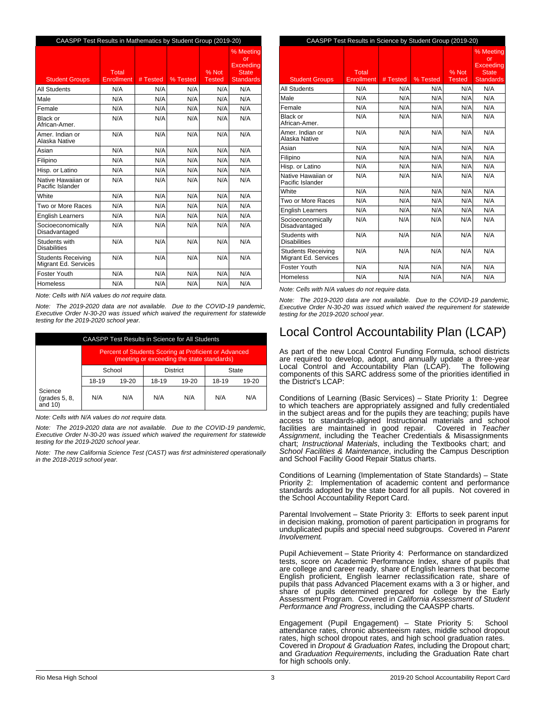| CAASPP Test Results in Mathematics by Student Group (2019-20) |                     |          |          |                 |                                                                  |  |
|---------------------------------------------------------------|---------------------|----------|----------|-----------------|------------------------------------------------------------------|--|
| <b>Student Groups</b>                                         | Total<br>Enrollment | # Tested | % Tested | % Not<br>Tested | % Meetina<br>or<br>Exceeding<br><b>State</b><br><b>Standards</b> |  |
| <b>All Students</b>                                           | N/A                 | N/A      | N/A      | N/A             | N/A                                                              |  |
| Male                                                          | N/A                 | N/A      | N/A      | N/A             | N/A                                                              |  |
| Female                                                        | N/A                 | N/A      | N/A      | N/A             | N/A                                                              |  |
| Black or<br>African-Amer.                                     | N/A                 | N/A      | N/A      | N/A             | N/A                                                              |  |
| Amer. Indian or<br>Alaska Native                              | N/A                 | N/A      | N/A      | N/A             | N/A                                                              |  |
| Asian                                                         | N/A                 | N/A      | N/A      | N/A             | N/A                                                              |  |
| Filipino                                                      | N/A                 | N/A      | N/A      | N/A             | N/A                                                              |  |
| Hisp. or Latino                                               | N/A                 | N/A      | N/A      | N/A             | N/A                                                              |  |
| Native Hawaiian or<br>Pacific Islander                        | N/A                 | N/A      | N/A      | N/A             | N/A                                                              |  |
| White                                                         | N/A                 | N/A      | N/A      | N/A             | N/A                                                              |  |
| Two or More Races                                             | N/A                 | N/A      | N/A      | N/A             | N/A                                                              |  |
| <b>English Learners</b>                                       | N/A                 | N/A      | N/A      | N/A             | N/A                                                              |  |
| Socioeconomically<br>Disadvantaged                            | N/A                 | N/A      | N/A      | N/A             | N/A                                                              |  |
| Students with<br><b>Disabilities</b>                          | N/A                 | N/A      | N/A      | N/A             | N/A                                                              |  |
| <b>Students Receiving</b><br>Migrant Ed. Services             | N/A                 | N/A      | N/A      | N/A             | N/A                                                              |  |
| Foster Youth                                                  | N/A                 | N/A      | N/A      | N/A             | N/A                                                              |  |
| Homeless                                                      | N/A                 | N/A      | N/A      | N/A             | N/A                                                              |  |

*Note: Cells with N/A values do not require data.*

*Note: The 2019-2020 data are not available. Due to the COVID-19 pandemic, Executive Order N-30-20 was issued which waived the requirement for statewide testing for the 2019-2020 school year.*

| <b>CAASPP Test Results in Science for All Students</b> |                                                                                                     |     |     |     |     |     |
|--------------------------------------------------------|-----------------------------------------------------------------------------------------------------|-----|-----|-----|-----|-----|
|                                                        | Percent of Students Scoring at Proficient or Advanced<br>(meeting or exceeding the state standards) |     |     |     |     |     |
|                                                        | <b>District</b><br>School<br>State                                                                  |     |     |     |     |     |
|                                                        | 18-19<br>18-19<br>18-19<br>19-20<br>19-20<br>$19 - 20$                                              |     |     |     |     |     |
| Science<br>$\left($ grades 5, 8,<br>and $10$ )         | N/A                                                                                                 | N/A | N/A | N/A | N/A | N/A |

*Note: Cells with N/A values do not require data.*

*Note: The 2019-2020 data are not available. Due to the COVID-19 pandemic, Executive Order N-30-20 was issued which waived the requirement for statewide testing for the 2019-2020 school year.*

*Note: The new California Science Test (CAST) was first administered operationally in the 2018-2019 school year.*

| CAASPP Test Results in Science by Student Group (2019-20) |                     |          |          |                        |                                                                  |
|-----------------------------------------------------------|---------------------|----------|----------|------------------------|------------------------------------------------------------------|
| <b>Student Groups</b>                                     | Total<br>Enrollment | # Tested | % Tested | % Not<br><b>Tested</b> | % Meetina<br>or<br>Exceedina<br><b>State</b><br><b>Standards</b> |
| <b>All Students</b>                                       | N/A                 | N/A      | N/A      | N/A                    | N/A                                                              |
| Male                                                      | N/A                 | N/A      | N/A      | N/A                    | N/A                                                              |
| Female                                                    | N/A                 | N/A      | N/A      | N/A                    | N/A                                                              |
| Black or<br>African-Amer.                                 | N/A                 | N/A      | N/A      | N/A                    | N/A                                                              |
| Amer, Indian or<br>Alaska Native                          | N/A                 | N/A      | N/A      | N/A                    | N/A                                                              |
| Asian                                                     | N/A                 | N/A      | N/A      | N/A                    | N/A                                                              |
| Filipino                                                  | N/A                 | N/A      | N/A      | N/A                    | N/A                                                              |
| Hisp. or Latino                                           | N/A                 | N/A      | N/A      | N/A                    | N/A                                                              |
| Native Hawaiian or<br>Pacific Islander                    | N/A                 | N/A      | N/A      | N/A                    | N/A                                                              |
| <b>White</b>                                              | N/A                 | N/A      | N/A      | N/A                    | N/A                                                              |
| Two or More Races                                         | N/A                 | N/A      | N/A      | N/A                    | N/A                                                              |
| <b>English Learners</b>                                   | N/A                 | N/A      | N/A      | N/A                    | N/A                                                              |
| Socioeconomically<br>Disadvantaged                        | N/A                 | N/A      | N/A      | N/A                    | N/A                                                              |
| Students with<br><b>Disabilities</b>                      | N/A                 | N/A      | N/A      | N/A                    | N/A                                                              |
| <b>Students Receiving</b><br>Migrant Ed. Services         | N/A                 | N/A      | N/A      | N/A                    | N/A                                                              |
| Foster Youth                                              | N/A                 | N/A      | N/A      | N/A                    | N/A                                                              |
| <b>Homeless</b>                                           | N/A                 | N/A      | N/A      | N/A                    | N/A                                                              |

*Note: Cells with N/A values do not require data.*

*Note: The 2019-2020 data are not available. Due to the COVID-19 pandemic, Executive Order N-30-20 was issued which waived the requirement for statewide testing for the 2019-2020 school year.*

# Local Control Accountability Plan (LCAP)

As part of the new Local Control Funding Formula, school districts are required to develop, adopt, and annually update a three-year Local Control and Accountability Plan (LCAP). The following components of this SARC address some of the priorities identified in the District's LCAP:

Conditions of Learning (Basic Services) – State Priority 1: Degree to which teachers are appropriately assigned and fully credentialed in the subject areas and for the pupils they are teaching; pupils have access to standards-aligned Instructional materials and school<br>facilities are maintained in good repair. Covered in Teacher facilities are maintained in good repair. Covered in *Teacher Assignment*, including the Teacher Credentials & Misassignments chart; *Instructional Materials*, including the Textbooks chart; and *School Facilities & Maintenance*, including the Campus Description and School Facility Good Repair Status charts.

Conditions of Learning (Implementation of State Standards) – State Priority 2: Implementation of academic content and performance standards adopted by the state board for all pupils. Not covered in the School Accountability Report Card.

Parental Involvement – State Priority 3: Efforts to seek parent input in decision making, promotion of parent participation in programs for unduplicated pupils and special need subgroups. Covered in *Parent Involvement.*

Pupil Achievement – State Priority 4: Performance on standardized tests, score on Academic Performance Index, share of pupils that are college and career ready, share of English learners that become English proficient, English learner reclassification rate, share of pupils that pass Advanced Placement exams with a 3 or higher, and share of pupils determined prepared for college by the Early Assessment Program. Covered in *California Assessment of Student Performance and Progress*, including the CAASPP charts.

Engagement (Pupil Engagement) – State Priority 5: School attendance rates, chronic absenteeism rates, middle school dropout rates, high school dropout rates, and high school graduation rates. Covered in *Dropout & Graduation Rates*, including the Dropout chart; and *Graduation Requirements*, including the Graduation Rate chart for high schools only.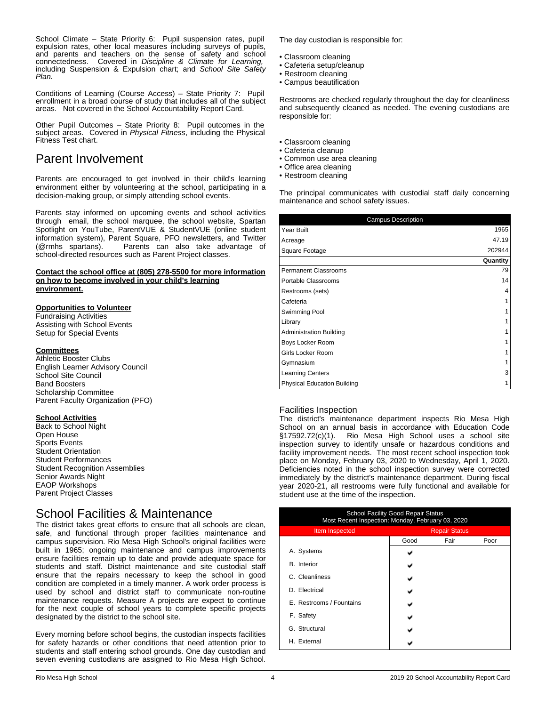School Climate – State Priority 6: Pupil suspension rates, pupil expulsion rates, other local measures including surveys of pupils, and parents and teachers on the sense of safety and school connectedness. Covered in *Discipline & Climate for Learning,* including Suspension & Expulsion chart; and *School Site Safety Plan.*

Conditions of Learning (Course Access) – State Priority 7: Pupil enrollment in a broad course of study that includes all of the subject areas. Not covered in the School Accountability Report Card.

Other Pupil Outcomes – State Priority 8: Pupil outcomes in the subject areas. Covered in *Physical Fitness*, including the Physical Fitness Test chart.

# Parent Involvement

Parents are encouraged to get involved in their child's learning environment either by volunteering at the school, participating in a decision-making group, or simply attending school events.

Parents stay informed on upcoming events and school activities through email, the school marquee, the school website, Spartan Spotlight on YouTube, ParentVUE & StudentVUE (online student information system), Parent Square, PFO newsletters, and Twitter (@rmhs spartans). Parents can also take advantage of school-directed resources such as Parent Project classes.

#### **Contact the school office at (805) 278-5500 for more information on how to become involved in your child's learning environment.**

### **Opportunities to Volunteer**

Fundraising Activities Assisting with School Events Setup for Special Events

### **Committees**

Athletic Booster Clubs English Learner Advisory Council School Site Council Band Boosters Scholarship Committee Parent Faculty Organization (PFO)

### **School Activities**

Back to School Night Open House Sports Events Student Orientation Student Performances Student Recognition Assemblies Senior Awards Night EAOP Workshops Parent Project Classes

# School Facilities & Maintenance

The district takes great efforts to ensure that all schools are clean, safe, and functional through proper facilities maintenance and campus supervision. Rio Mesa High School's original facilities were built in 1965; ongoing maintenance and campus improvements ensure facilities remain up to date and provide adequate space for students and staff. District maintenance and site custodial staff ensure that the repairs necessary to keep the school in good condition are completed in a timely manner. A work order process is used by school and district staff to communicate non-routine maintenance requests. Measure A projects are expect to continue for the next couple of school years to complete specific projects designated by the district to the school site.

Every morning before school begins, the custodian inspects facilities for safety hazards or other conditions that need attention prior to students and staff entering school grounds. One day custodian and seven evening custodians are assigned to Rio Mesa High School.

The day custodian is responsible for:

- Classroom cleaning
- Cafeteria setup/cleanup
- Restroom cleaning
- Campus beautification

Restrooms are checked regularly throughout the day for cleanliness and subsequently cleaned as needed. The evening custodians are responsible for:

- Classroom cleaning
- Cafeteria cleanup
- Common use area cleaning
- Office area cleaning
- Restroom cleaning

The principal communicates with custodial staff daily concerning maintenance and school safety issues.

| <b>Campus Description</b>          |          |
|------------------------------------|----------|
| Year Built                         | 1965     |
| Acreage                            | 47.19    |
| Square Footage                     | 202944   |
|                                    | Quantity |
| Permanent Classrooms               | 79       |
| Portable Classrooms                | 14       |
| Restrooms (sets)                   | 4        |
| Cafeteria                          |          |
| Swimming Pool                      |          |
| Library                            |          |
| <b>Administration Building</b>     |          |
| Boys Locker Room                   |          |
| Girls Locker Room                  |          |
| Gymnasium                          |          |
| <b>Learning Centers</b>            | 3        |
| <b>Physical Education Building</b> |          |

### Facilities Inspection

The district's maintenance department inspects Rio Mesa High School on an annual basis in accordance with Education Code §17592.72(c)(1). Rio Mesa High School uses a school site inspection survey to identify unsafe or hazardous conditions and facility improvement needs. The most recent school inspection took place on Monday, February 03, 2020 to Wednesday, April 1, 2020. Deficiencies noted in the school inspection survey were corrected immediately by the district's maintenance department. During fiscal year 2020-21, all restrooms were fully functional and available for student use at the time of the inspection.

| <b>School Facility Good Repair Status</b><br>Most Recent Inspection: Monday, February 03, 2020 |                      |      |      |  |  |
|------------------------------------------------------------------------------------------------|----------------------|------|------|--|--|
| Item Inspected                                                                                 | <b>Repair Status</b> |      |      |  |  |
|                                                                                                | Good                 | Fair | Poor |  |  |
| A. Systems                                                                                     |                      |      |      |  |  |
| <b>B.</b> Interior                                                                             |                      |      |      |  |  |
| C. Cleanliness                                                                                 |                      |      |      |  |  |
| D. Electrical                                                                                  |                      |      |      |  |  |
| E. Restrooms / Fountains                                                                       |                      |      |      |  |  |
| F. Safety                                                                                      |                      |      |      |  |  |
| G. Structural                                                                                  |                      |      |      |  |  |
| H. External                                                                                    |                      |      |      |  |  |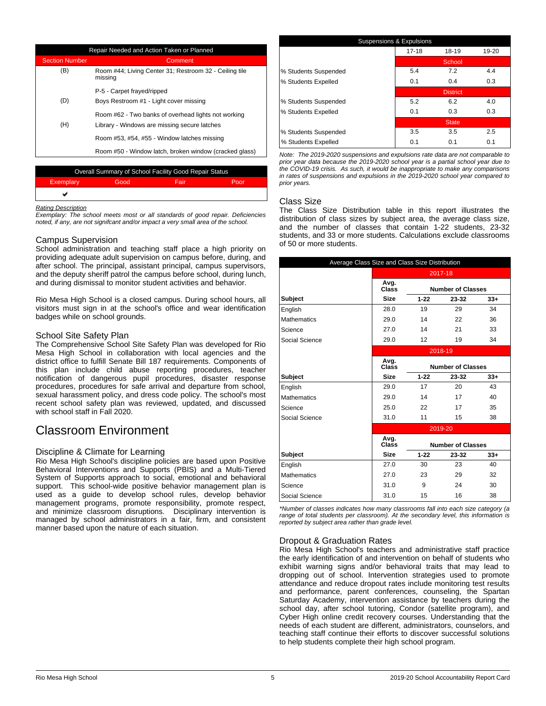| Repair Needed and Action Taken or Planned |                                                                                                     |  |  |
|-------------------------------------------|-----------------------------------------------------------------------------------------------------|--|--|
| <b>Section Number</b>                     | Comment                                                                                             |  |  |
| (B)                                       | Room #44; Living Center 31; Restroom 32 - Ceiling tile<br>missing                                   |  |  |
|                                           | P-5 - Carpet frayed/ripped                                                                          |  |  |
| (D)                                       | Boys Restroom #1 - Light cover missing                                                              |  |  |
| (H)                                       | Room #62 - Two banks of overhead lights not working<br>Library - Windows are missing secure latches |  |  |
|                                           | Room #53, #54, #55 - Window latches missing                                                         |  |  |
|                                           | Room #50 - Window latch, broken window (cracked glass)                                              |  |  |

| Overall Summary of School Facility Good Repair Status |      |      |      |  |  |  |
|-------------------------------------------------------|------|------|------|--|--|--|
| Exemplary                                             | Good | Fair | Poor |  |  |  |
|                                                       |      |      |      |  |  |  |
|                                                       |      |      |      |  |  |  |

#### *Rating Description*

*Exemplary: The school meets most or all standards of good repair. Deficiencies noted, if any, are not signifcant and/or impact a very small area of the school.*

### Campus Supervision

School administration and teaching staff place a high priority on providing adequate adult supervision on campus before, during, and after school. The principal, assistant principal, campus supervisors, and the deputy sheriff patrol the campus before school, during lunch, and during dismissal to monitor student activities and behavior.

Rio Mesa High School is a closed campus. During school hours, all visitors must sign in at the school's office and wear identification badges while on school grounds.

### School Site Safety Plan

The Comprehensive School Site Safety Plan was developed for Rio Mesa High School in collaboration with local agencies and the district office to fulfill Senate Bill 187 requirements. Components of this plan include child abuse reporting procedures, teacher notification of dangerous pupil procedures, disaster response procedures, procedures for safe arrival and departure from school, sexual harassment policy, and dress code policy. The school's most recent school safety plan was reviewed, updated, and discussed with school staff in Fall 2020.

# Classroom Environment

### Discipline & Climate for Learning

Rio Mesa High School's discipline policies are based upon Positive Behavioral Interventions and Supports (PBIS) and a Multi-Tiered System of Supports approach to social, emotional and behavioral support. This school-wide positive behavior management plan is used as a guide to develop school rules, develop behavior management programs, promote responsibility, promote respect, and minimize classroom disruptions. Disciplinary intervention is managed by school administrators in a fair, firm, and consistent manner based upon the nature of each situation.

| Suspensions & Expulsions |           |                 |       |  |  |  |
|--------------------------|-----------|-----------------|-------|--|--|--|
|                          | $17 - 18$ | 18-19           | 19-20 |  |  |  |
|                          |           | School          |       |  |  |  |
| % Students Suspended     | 5.4       | 7.2             | 4.4   |  |  |  |
| % Students Expelled      | 0.1       | 0.4             | 0.3   |  |  |  |
|                          |           | <b>District</b> |       |  |  |  |
| % Students Suspended     | 5.2       | 6.2             | 4.0   |  |  |  |
| % Students Expelled      | 0.1       | 0.3             | 0.3   |  |  |  |
|                          |           | <b>State</b>    |       |  |  |  |
| % Students Suspended     | 3.5       | 3.5             | 2.5   |  |  |  |
| % Students Expelled      | 0.1       | 0.1             | 0.1   |  |  |  |

*Note: The 2019-2020 suspensions and expulsions rate data are not comparable to prior year data because the 2019-2020 school year is a partial school year due to the COVID-19 crisis. As such, it would be inappropriate to make any comparisons in rates of suspensions and expulsions in the 2019-2020 school year compared to prior years.*

### Class Size

The Class Size Distribution table in this report illustrates the distribution of class sizes by subject area, the average class size, and the number of classes that contain 1-22 students, 23-32 students, and 33 or more students. Calculations exclude classrooms of 50 or more students.

| Average Class Size and Class Size Distribution |               |          |                          |       |
|------------------------------------------------|---------------|----------|--------------------------|-------|
|                                                | 2017-18       |          |                          |       |
|                                                | Avg.<br>Class |          | <b>Number of Classes</b> |       |
| <b>Subject</b>                                 | <b>Size</b>   | $1 - 22$ | 23-32                    | $33+$ |
| English                                        | 28.0          | 19       | 29                       | 34    |
| <b>Mathematics</b>                             | 29.0          | 14       | 22                       | 36    |
| Science                                        | 27.0          | 14       | 21                       | 33    |
| Social Science                                 | 29.0          | 12       | 19                       | 34    |
|                                                |               |          | 2018-19                  |       |
|                                                | Avg.<br>Class |          | <b>Number of Classes</b> |       |
| Subject                                        | <b>Size</b>   | $1 - 22$ | 23-32                    | $33+$ |
| English                                        | 29.0          | 17       | 20                       | 43    |
| <b>Mathematics</b>                             | 29.0          | 14       | 17                       | 40    |
| Science                                        | 25.0          | 22       | 17                       | 35    |
| Social Science                                 | 31.0          | 11       | 15                       | 38    |
|                                                |               |          | 2019-20                  |       |
|                                                | Avg.<br>Class |          | <b>Number of Classes</b> |       |
| Subject                                        | <b>Size</b>   | $1 - 22$ | 23-32                    | $33+$ |
| English                                        | 27.0          | 30       | 23                       | 40    |
| <b>Mathematics</b>                             | 27.0          | 23       | 29                       | 32    |
| Science                                        | 31.0          | 9        | 24                       | 30    |
| Social Science                                 | 31.0          | 15       | 16                       | 38    |

*\*Number of classes indicates how many classrooms fall into each size category (a range of total students per classroom). At the secondary level, this information is reported by subject area rather than grade level.*

### Dropout & Graduation Rates

Rio Mesa High School's teachers and administrative staff practice the early identification of and intervention on behalf of students who exhibit warning signs and/or behavioral traits that may lead to dropping out of school. Intervention strategies used to promote attendance and reduce dropout rates include monitoring test results and performance, parent conferences, counseling, the Spartan Saturday Academy, intervention assistance by teachers during the school day, after school tutoring, Condor (satellite program), and Cyber High online credit recovery courses. Understanding that the needs of each student are different, administrators, counselors, and teaching staff continue their efforts to discover successful solutions to help students complete their high school program.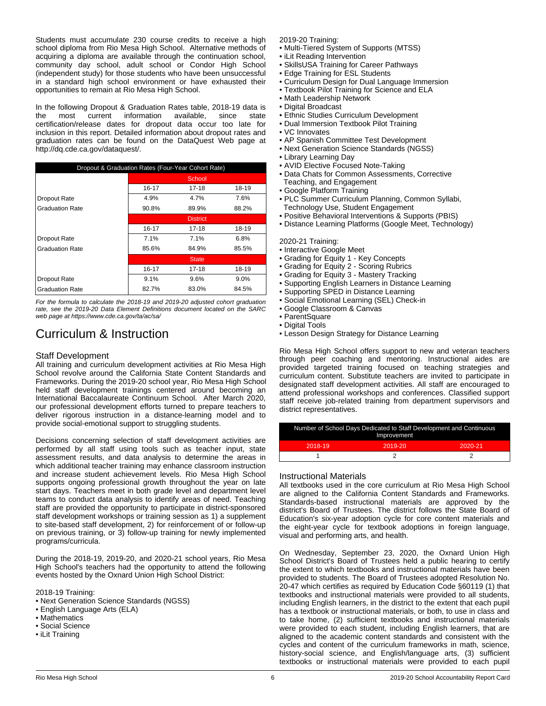Students must accumulate 230 course credits to receive a high school diploma from Rio Mesa High School. Alternative methods of acquiring a diploma are available through the continuation school, community day school, adult school or Condor High School (independent study) for those students who have been unsuccessful in a standard high school environment or have exhausted their opportunities to remain at Rio Mesa High School.

In the following Dropout & Graduation Rates table, 2018-19 data is<br>the most current information available. since state information certification/release dates for dropout data occur too late for inclusion in this report. Detailed information about dropout rates and graduation rates can be found on the DataQuest Web page at http://dq.cde.ca.gov/dataquest/.

| Dropout & Graduation Rates (Four-Year Cohort Rate) |                 |           |         |  |
|----------------------------------------------------|-----------------|-----------|---------|--|
|                                                    |                 | School    |         |  |
|                                                    | 16-17           | 17-18     | 18-19   |  |
| Dropout Rate                                       | 4.9%            | 4.7%      | 7.6%    |  |
| <b>Graduation Rate</b>                             | 90.8%           | 89.9%     | 88.2%   |  |
|                                                    | <b>District</b> |           |         |  |
|                                                    | $16 - 17$       | $17 - 18$ | 18-19   |  |
| Dropout Rate                                       | 7.1%            | 7.1%      | 6.8%    |  |
| <b>Graduation Rate</b>                             | 85.6%           | 84.9%     | 85.5%   |  |
|                                                    | <b>State</b>    |           |         |  |
|                                                    | $16 - 17$       | $17 - 18$ | 18-19   |  |
| Dropout Rate                                       | 9.1%            | 9.6%      | $9.0\%$ |  |
| <b>Graduation Rate</b>                             | 82.7%           | 83.0%     | 84.5%   |  |

*For the formula to calculate the 2018-19 and 2019-20 adjusted cohort graduation rate, see the 2019-20 Data Element Definitions document located on the SARC web page at https://www.cde.ca.gov/ta/ac/sa/*

# Curriculum & Instruction

### Staff Development

All training and curriculum development activities at Rio Mesa High School revolve around the California State Content Standards and Frameworks. During the 2019-20 school year, Rio Mesa High School held staff development trainings centered around becoming an International Baccalaureate Continuum School. After March 2020, our professional development efforts turned to prepare teachers to deliver rigorous instruction in a distance-learning model and to provide social-emotional support to struggling students.

Decisions concerning selection of staff development activities are performed by all staff using tools such as teacher input, state assessment results, and data analysis to determine the areas in which additional teacher training may enhance classroom instruction and increase student achievement levels. Rio Mesa High School supports ongoing professional growth throughout the year on late start days. Teachers meet in both grade level and department level teams to conduct data analysis to identify areas of need. Teaching staff are provided the opportunity to participate in district-sponsored staff development workshops or training session as 1) a supplement to site-based staff development, 2) for reinforcement of or follow-up on previous training, or 3) follow-up training for newly implemented programs/curricula.

During the 2018-19, 2019-20, and 2020-21 school years, Rio Mesa High School's teachers had the opportunity to attend the following events hosted by the Oxnard Union High School District:

2018-19 Training:

- Next Generation Science Standards (NGSS)
- English Language Arts (ELA)
- Mathematics
- Social Science
- iLit Training

2019-20 Training:

- Multi-Tiered System of Supports (MTSS)
- iLit Reading Intervention
- SkillsUSA Training for Career Pathways
- Edge Training for ESL Students
- Curriculum Design for Dual Language Immersion
- Textbook Pilot Training for Science and ELA
- Math Leadership Network
- Digital Broadcast
- Ethnic Studies Curriculum Development
- Dual Immersion Textbook Pilot Training
- VC Innovates
- AP Spanish Committee Test Development
- Next Generation Science Standards (NGSS)
- Library Learning Day
- AVID Elective Focused Note-Taking
- Data Chats for Common Assessments, Corrective
- Teaching, and Engagement
- Google Platform Training
- PLC Summer Curriculum Planning, Common Syllabi, Technology Use, Student Engagement
- Positive Behavioral Interventions & Supports (PBIS)
- Distance Learning Platforms (Google Meet, Technology)

2020-21 Training:

- Interactive Google Meet
- Grading for Equity 1 Key Concepts
- Grading for Equity 2 Scoring Rubrics
- Grading for Equity 3 Mastery Tracking
- Supporting English Learners in Distance Learning
- Supporting SPED in Distance Learning
- Social Emotional Learning (SEL) Check-in
- Google Classroom & Canvas
- ParentSquare
- Digital Tools
- Lesson Design Strategy for Distance Learning

Rio Mesa High School offers support to new and veteran teachers through peer coaching and mentoring. Instructional aides are provided targeted training focused on teaching strategies and curriculum content. Substitute teachers are invited to participate in designated staff development activities. All staff are encouraged to attend professional workshops and conferences. Classified support staff receive job-related training from department supervisors and district representatives.

| Number of School Days Dedicated to Staff Development and Continuous<br>Improvement |         |         |  |
|------------------------------------------------------------------------------------|---------|---------|--|
| 2018-19                                                                            | 2019-20 | 2020-21 |  |
|                                                                                    |         |         |  |

### Instructional Materials

All textbooks used in the core curriculum at Rio Mesa High School are aligned to the California Content Standards and Frameworks. Standards-based instructional materials are approved by the district's Board of Trustees. The district follows the State Board of Education's six-year adoption cycle for core content materials and the eight-year cycle for textbook adoptions in foreign language, visual and performing arts, and health.

On Wednesday, September 23, 2020, the Oxnard Union High School District's Board of Trustees held a public hearing to certify the extent to which textbooks and instructional materials have been provided to students. The Board of Trustees adopted Resolution No. 20-47 which certifies as required by Education Code §60119 (1) that textbooks and instructional materials were provided to all students, including English learners, in the district to the extent that each pupil has a textbook or instructional materials, or both, to use in class and to take home, (2) sufficient textbooks and instructional materials were provided to each student, including English learners, that are aligned to the academic content standards and consistent with the cycles and content of the curriculum frameworks in math, science, history-social science, and English/language arts, (3) sufficient textbooks or instructional materials were provided to each pupil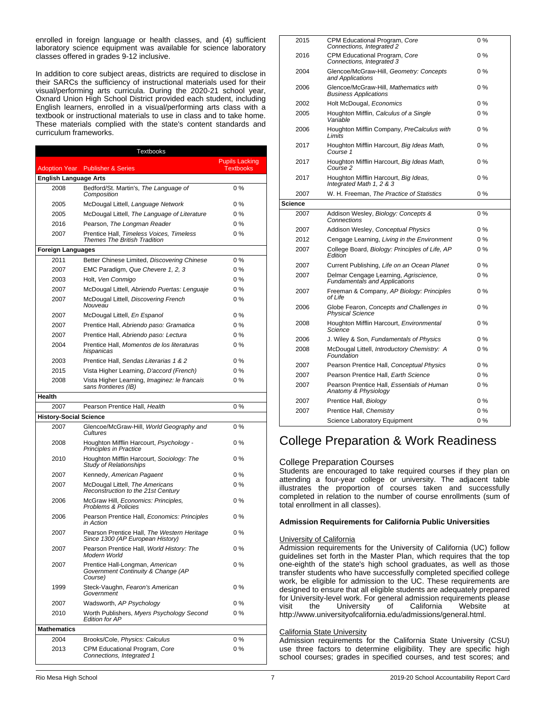enrolled in foreign language or health classes, and (4) sufficient laboratory science equipment was available for science laboratory classes offered in grades 9-12 inclusive.

In addition to core subject areas, districts are required to disclose in their SARCs the sufficiency of instructional materials used for their visual/performing arts curricula. During the 2020-21 school year, Oxnard Union High School District provided each student, including English learners, enrolled in a visual/performing arts class with a textbook or instructional materials to use in class and to take home. These materials complied with the state's content standards and curriculum frameworks.

| Textbooks                     |                                                                                  |                                           |  |
|-------------------------------|----------------------------------------------------------------------------------|-------------------------------------------|--|
| <b>Adoption Year</b>          | <b>Publisher &amp; Series</b>                                                    | <b>Pupils Lacking</b><br><b>Textbooks</b> |  |
| <b>English Language Arts</b>  |                                                                                  |                                           |  |
| 2008                          | Bedford/St. Martin's, The Language of<br>Composition                             | $0\%$                                     |  |
| 2005                          | McDougal Littell, Language Network                                               | $0\%$                                     |  |
| 2005                          | McDougal Littell, The Language of Literature                                     | $0\%$                                     |  |
| 2016                          | Pearson, The Longman Reader                                                      | $0\%$                                     |  |
| 2007                          | Prentice Hall, Timeless Voices, Timeless<br><b>Themes The British Tradition</b>  | $0\%$                                     |  |
| <b>Foreign Languages</b>      |                                                                                  |                                           |  |
| 2011                          | Better Chinese Limited, Discovering Chinese                                      | $0\%$                                     |  |
| 2007                          | EMC Paradigm, Que Chevere 1, 2, 3                                                | $0\%$                                     |  |
| 2003                          | Holt, Ven Conmigo                                                                | $0\%$                                     |  |
| 2007                          | McDougal Littell, Abriendo Puertas: Lenguaje                                     | $0\%$                                     |  |
| 2007                          | McDougal Littell, Discovering French<br>Nouveau                                  | $0\%$                                     |  |
| 2007                          | McDougal Littell, En Espanol                                                     | $0\%$                                     |  |
| 2007                          | Prentice Hall, Abriendo paso: Gramatica                                          | $0\%$                                     |  |
| 2007                          | Prentice Hall, Abriendo paso: Lectura                                            | $0\%$                                     |  |
| 2004                          | Prentice Hall, Momentos de los literaturas<br>hispanicas                         | $0\%$                                     |  |
| 2003                          | Prentice Hall, Sendas Literarias 1 & 2                                           | $0\%$                                     |  |
| 2015                          | Vista Higher Learning, D'accord (French)                                         | $0\%$                                     |  |
| 2008                          | Vista Higher Learning, Imaginez: le francais<br>sans frontieres (IB)             | $0\%$                                     |  |
| Health                        |                                                                                  |                                           |  |
| 2007                          | Pearson Prentice Hall, Health                                                    | 0%                                        |  |
| <b>History-Social Science</b> |                                                                                  |                                           |  |
| 2007                          | Glencoe/McGraw-Hill, World Geography and<br>Cultures                             | 0%                                        |  |
| 2008                          | Houghton Mifflin Harcourt, Psychology -<br>Principles in Practice                | 0%                                        |  |
| 2010                          | Houghton Mifflin Harcourt, Sociology: The<br><b>Study of Relationships</b>       | 0%                                        |  |
| 2007                          | Kennedy, American Pagaent                                                        | $0\%$                                     |  |
| 2007                          | McDougal Littell, The Americans<br>Reconstruction to the 21st Century            | 0%                                        |  |
| 2006                          | McGraw Hill, Economics: Principles,<br><b>Problems &amp; Policies</b>            | 0%                                        |  |
| 2006                          | Pearson Prentice Hall, Economics: Principles<br>in Action                        | 0%                                        |  |
| 2007                          | Pearson Prentice Hall, The Western Heritage<br>Since 1300 (AP European History)  | $0\%$                                     |  |
| 2007                          | Pearson Prentice Hall, World History: The<br>Modern World                        | 0%                                        |  |
| 2007                          | Prentice Hall-Longman, American<br>Government Continuity & Change (AP<br>Course) | 0%                                        |  |
| 1999                          | Steck-Vaughn, Fearon's American<br>Government                                    | 0 %                                       |  |
| 2007                          | Wadsworth, AP Psychology                                                         | 0%                                        |  |
| 2010                          | Worth Publishers, Myers Psychology Second<br><b>Edition for AP</b>               | 0%                                        |  |
| <b>Mathematics</b>            |                                                                                  |                                           |  |
| 2004                          | Brooks/Cole, Physics: Calculus                                                   | 0%                                        |  |
| 2013                          | CPM Educational Program, Core<br>Connections, Integrated 1                       | 0%                                        |  |

| 2015           | CPM Educational Program, Core<br>Connections, Integrated 2                    | 0%    |
|----------------|-------------------------------------------------------------------------------|-------|
| 2016           | CPM Educational Program, Core<br>Connections, Integrated 3                    | $0\%$ |
| 2004           | Glencoe/McGraw-Hill, Geometry: Concepts<br>and Applications                   | $0\%$ |
| 2006           | Glencoe/McGraw-Hill, Mathematics with<br><b>Business Applications</b>         | 0%    |
| 2002           | Holt McDougal, Economics                                                      | 0%    |
| 2005           | Houghton Mifflin, Calculus of a Single<br>Variable                            | 0%    |
| 2006           | Houghton Mifflin Company, PreCalculus with<br>Limits                          | 0%    |
| 2017           | Houghton Mifflin Harcourt, Big Ideas Math,<br>Course 1                        | 0%    |
| 2017           | Houghton Mifflin Harcourt, Big Ideas Math,<br>Course 2                        | $0\%$ |
| 2017           | Houghton Mifflin Harcourt, Big Ideas,<br>Integrated Math 1, 2 & 3             | $0\%$ |
| 2007           | W. H. Freeman, The Practice of Statistics                                     | 0%    |
| <b>Science</b> |                                                                               |       |
| 2007           | Addison Wesley, Biology: Concepts &<br>Connections                            | $0\%$ |
| 2007           | Addison Wesley, Conceptual Physics                                            | $0\%$ |
| 2012           | Cengage Learning, Living in the Environment                                   | 0%    |
| 2007           | College Board, Biology: Principles of Life, AP<br>Edition                     | 0%    |
| 2007           | Current Publishing, Life on an Ocean Planet                                   | 0%    |
| 2007           | Delmar Cengage Learning, Agriscience,<br><b>Fundamentals and Applications</b> | $0\%$ |
| 2007           | Freeman & Company, AP Biology: Principles<br>of Life                          | $0\%$ |
| 2006           | Globe Fearon, Concepts and Challenges in<br><b>Physical Science</b>           | $0\%$ |
| 2008           | Houghton Mifflin Harcourt, Environmental<br>Science                           | $0\%$ |
| 2006           | J. Wiley & Son, Fundamentals of Physics                                       | $0\%$ |
| 2008           | McDougal Littell, Introductory Chemistry: A<br>Foundation                     | 0%    |
| 2007           | Pearson Prentice Hall, Conceptual Physics                                     | $0\%$ |
| 2007           | Pearson Prentice Hall, Earth Science                                          | $0\%$ |
| 2007           | Pearson Prentice Hall, Essentials of Human<br>Anatomy & Physiology            | 0%    |
| 2007           | Prentice Hall, Biology                                                        | $0\%$ |
| 2007           | Prentice Hall, Chemistry                                                      | $0\%$ |
|                | Science Laboratory Equipment                                                  | $0\%$ |

# College Preparation & Work Readiness

### College Preparation Courses

Students are encouraged to take required courses if they plan on attending a four-year college or university. The adjacent table illustrates the proportion of courses taken and successfully completed in relation to the number of course enrollments (sum of total enrollment in all classes).

### **Admission Requirements for California Public Universities**

### University of California

Admission requirements for the University of California (UC) follow guidelines set forth in the Master Plan, which requires that the top one-eighth of the state's high school graduates, as well as those transfer students who have successfully completed specified college work, be eligible for admission to the UC. These requirements are designed to ensure that all eligible students are adequately prepared for University-level work. For general admission requirements please visit the University of California Website at http://www.universityofcalifornia.edu/admissions/general.html.

### California State University

Admission requirements for the California State University (CSU) use three factors to determine eligibility. They are specific high school courses; grades in specified courses, and test scores; and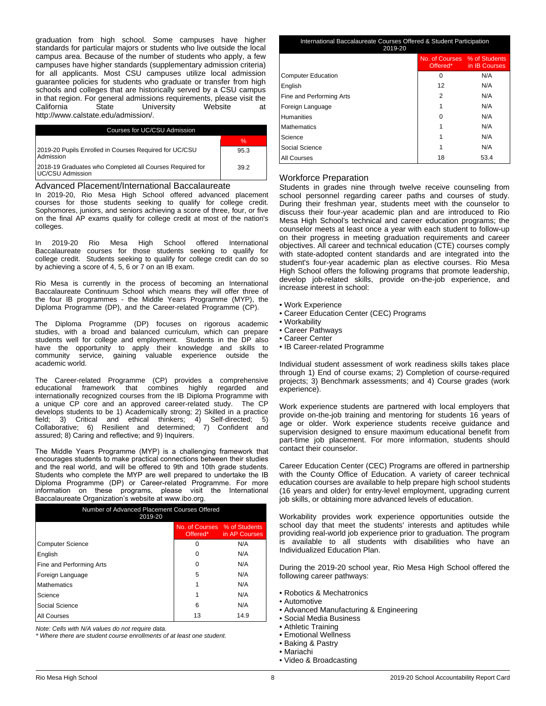graduation from high school. Some campuses have higher standards for particular majors or students who live outside the local campus area. Because of the number of students who apply, a few campuses have higher standards (supplementary admission criteria) for all applicants. Most CSU campuses utilize local admission guarantee policies for students who graduate or transfer from high schools and colleges that are historically served by a CSU campus in that region. For general admissions requirements, please visit the California State University Website at California State University Website at http://www.calstate.edu/admission/.

| Courses for UC/CSU Admission                                                 |      |  |
|------------------------------------------------------------------------------|------|--|
|                                                                              | ℅    |  |
| 2019-20 Pupils Enrolled in Courses Required for UC/CSU<br>Admission          | 95.3 |  |
| 2018-19 Graduates who Completed all Courses Required for<br>UC/CSU Admission | 39.2 |  |

#### Advanced Placement/International Baccalaureate

In 2019-20, Rio Mesa High School offered advanced placement courses for those students seeking to qualify for college credit. Sophomores, juniors, and seniors achieving a score of three, four, or five on the final AP exams qualify for college credit at most of the nation's colleges.

In 2019-20 Rio Mesa High School offered International Baccalaureate courses for those students seeking to qualify for college credit. Students seeking to qualify for college credit can do so by achieving a score of 4, 5, 6 or 7 on an IB exam.

Rio Mesa is currently in the process of becoming an International Baccalaureate Continuum School which means they will offer three of the four IB programmes - the Middle Years Programme (MYP), the Diploma Programme (DP), and the Career-related Programme (CP).

The Diploma Programme (DP) focuses on rigorous academic studies, with a broad and balanced curriculum, which can prepare students well for college and employment. Students in the DP also have the opportunity to apply their knowledge and skills to community service, gaining valuable experience outside the academic world.

The Career-related Programme (CP) provides a comprehensive educational framework that combines highly regarded and internationally recognized courses from the IB Diploma Programme with a unique CP core and an approved career-related study. The CP develops students to be 1) Academically strong; 2) Skilled in a practice field; 3) Critical and ethical thinkers; 4) Self-directed; 5) Collaborative; 6) Resilient and determined; 7) Confident and assured; 8) Caring and reflective; and 9) Inquirers.

The Middle Years Programme (MYP) is a challenging framework that encourages students to make practical connections between their studies and the real world, and will be offered to 9th and 10th grade students. Students who complete the MYP are well prepared to undertake the IB Diploma Programme (DP) or Career-related Programme. For more information on these programs, please visit the International Baccalaureate Organization's website at www.ibo.org.

| Number of Advanced Placement Courses Offered<br>2019-20 |                              |                                    |  |
|---------------------------------------------------------|------------------------------|------------------------------------|--|
|                                                         | No. of Courses % of Students | Offered <sup>*</sup> in AP Courses |  |
| <b>Computer Science</b>                                 | 0                            | N/A                                |  |
| English                                                 | 0                            | N/A                                |  |
| Fine and Performing Arts                                | 0                            | N/A                                |  |
| Foreign Language                                        | 5                            | N/A                                |  |
| Mathematics                                             | 1                            | N/A                                |  |
| Science                                                 | 1                            | N/A                                |  |
| Social Science                                          | 6                            | N/A                                |  |
| All Courses                                             | 13                           | 14.9                               |  |

*Note: Cells with N/A values do not require data.*

*\* Where there are student course enrollments of at least one student.*

| International Baccalaureate Courses Offered & Student Participation<br>2019-20 |                              |                                    |  |
|--------------------------------------------------------------------------------|------------------------------|------------------------------------|--|
|                                                                                | No. of Courses % of Students | Offered <sup>*</sup> in IB Courses |  |
| <b>Computer Education</b>                                                      | 0                            | N/A                                |  |
| English                                                                        | 12                           | N/A                                |  |
| Fine and Performing Arts                                                       | 2                            | N/A                                |  |
| Foreign Language                                                               |                              | N/A                                |  |
| <b>Humanities</b>                                                              | n                            | N/A                                |  |
| <b>Mathematics</b>                                                             |                              | N/A                                |  |
| Science                                                                        |                              | N/A                                |  |
| Social Science                                                                 |                              | N/A                                |  |
| All Courses                                                                    | 18                           | 53.4                               |  |

### Workforce Preparation

Students in grades nine through twelve receive counseling from school personnel regarding career paths and courses of study. During their freshman year, students meet with the counselor to discuss their four-year academic plan and are introduced to Rio Mesa High School's technical and career education programs; the counselor meets at least once a year with each student to follow-up on their progress in meeting graduation requirements and career objectives. All career and technical education (CTE) courses comply with state-adopted content standards and are integrated into the student's four-year academic plan as elective courses. Rio Mesa High School offers the following programs that promote leadership, develop job-related skills, provide on-the-job experience, and increase interest in school:

- Work Experience
- Career Education Center (CEC) Programs
- Workability
	- Career Pathways
	- Career Center
	- IB Career-related Programme

Individual student assessment of work readiness skills takes place through 1) End of course exams; 2) Completion of course-required projects; 3) Benchmark assessments; and 4) Course grades (work experience).

Work experience students are partnered with local employers that provide on-the-job training and mentoring for students 16 years of age or older. Work experience students receive guidance and supervision designed to ensure maximum educational benefit from part-time job placement. For more information, students should contact their counselor.

Career Education Center (CEC) Programs are offered in partnership with the County Office of Education. A variety of career technical education courses are available to help prepare high school students (16 years and older) for entry-level employment, upgrading current job skills, or obtaining more advanced levels of education.

Workability provides work experience opportunities outside the school day that meet the students' interests and aptitudes while providing real-world job experience prior to graduation. The program is available to all students with disabilities who have an Individualized Education Plan.

During the 2019-20 school year, Rio Mesa High School offered the following career pathways:

- Robotics & Mechatronics
- Automotive
- Advanced Manufacturing & Engineering
- Social Media Business
- Athletic Training
- Emotional Wellness
- Baking & Pastry
- Mariachi
- Video & Broadcasting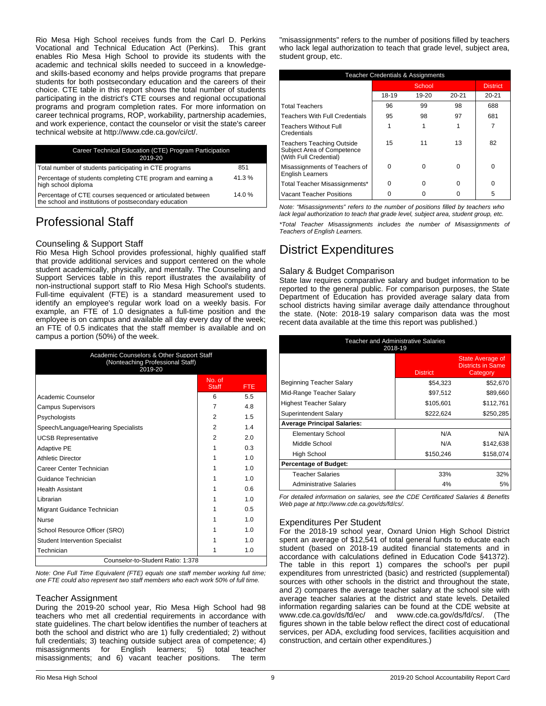Rio Mesa High School receives funds from the Carl D. Perkins Vocational and Technical Education Act (Perkins). This grant enables Rio Mesa High School to provide its students with the academic and technical skills needed to succeed in a knowledgeand skills-based economy and helps provide programs that prepare students for both postsecondary education and the careers of their choice. CTE table in this report shows the total number of students participating in the district's CTE courses and regional occupational programs and program completion rates. For more information on career technical programs, ROP, workability, partnership academies, and work experience, contact the counselor or visit the state's career technical website at http://www.cde.ca.gov/ci/ct/.

| Career Technical Education (CTE) Program Participation<br>2019-20                                                    |       |  |
|----------------------------------------------------------------------------------------------------------------------|-------|--|
| Total number of students participating in CTE programs                                                               | 851   |  |
| Percentage of students completing CTE program and earning a<br>high school diploma                                   | 41.3% |  |
| Percentage of CTE courses sequenced or articulated between<br>the school and institutions of postsecondary education | 14.0% |  |

# Professional Staff

## Counseling & Support Staff

Rio Mesa High School provides professional, highly qualified staff that provide additional services and support centered on the whole student academically, physically, and mentally. The Counseling and Support Services table in this report illustrates the availability of non-instructional support staff to Rio Mesa High School's students. Full-time equivalent (FTE) is a standard measurement used to identify an employee's regular work load on a weekly basis. For example, an FTE of 1.0 designates a full-time position and the employee is on campus and available all day every day of the week; an FTE of 0.5 indicates that the staff member is available and on campus a portion (50%) of the week.

| Academic Counselors & Other Support Staff<br>(Nonteaching Professional Staff)<br>2019-20 |                        |                |  |
|------------------------------------------------------------------------------------------|------------------------|----------------|--|
|                                                                                          | No. of<br><b>Staff</b> | <b>FTE</b>     |  |
| Academic Counselor                                                                       | 6                      | 5.5            |  |
| <b>Campus Supervisors</b>                                                                | 7                      | 4.8            |  |
| Psychologists                                                                            | 2                      | 1.5            |  |
| Speech/Language/Hearing Specialists                                                      | 2                      | 14             |  |
| <b>UCSB Representative</b>                                                               | 2                      | 20             |  |
| <b>Adaptive PE</b>                                                                       | 1                      | 0.3            |  |
| <b>Athletic Director</b>                                                                 |                        | 1 <sub>0</sub> |  |
| Career Center Technician                                                                 | 1                      | 1 <sub>0</sub> |  |
| Guidance Technician                                                                      | 1                      | 1 <sub>0</sub> |  |
| <b>Health Assistant</b>                                                                  | 1                      | 0.6            |  |
| Librarian                                                                                | 1                      | 1.0            |  |
| Migrant Guidance Technician                                                              | 1                      | 0.5            |  |
| <b>Nurse</b>                                                                             | 1                      | 1.0            |  |
| School Resource Officer (SRO)                                                            | 1                      | 1.0            |  |
| <b>Student Intervention Specialist</b>                                                   | 1                      | 1.0            |  |
| Technician                                                                               | 1                      | 1.0            |  |
| Counselor-to-Student Ratio: 1:378                                                        |                        |                |  |

*Note: One Full Time Equivalent (FTE) equals one staff member working full time; one FTE could also represent two staff members who each work 50% of full time.*

### Teacher Assignment

During the 2019-20 school year, Rio Mesa High School had 98 teachers who met all credential requirements in accordance with state guidelines. The chart below identifies the number of teachers at both the school and district who are 1) fully credentialed; 2) without full credentials; 3) teaching outside subject area of competence; 4) misassignments for English learners; 5) total teacher misassignments; and 6) vacant teacher positions. The term

"misassignments" refers to the number of positions filled by teachers who lack legal authorization to teach that grade level, subject area, student group, etc.

| <b>Teacher Credentials &amp; Assignments</b>                                             |       |           |           |                 |
|------------------------------------------------------------------------------------------|-------|-----------|-----------|-----------------|
|                                                                                          |       | School    |           | <b>District</b> |
|                                                                                          | 18-19 | $19 - 20$ | $20 - 21$ | $20 - 21$       |
| <b>Total Teachers</b>                                                                    | 96    | 99        | 98        | 688             |
| <b>Teachers With Full Credentials</b>                                                    | 95    | 98        | 97        | 681             |
| <b>Teachers Without Full</b><br>Credentials                                              |       | 1         |           | 7               |
| <b>Teachers Teaching Outside</b><br>Subject Area of Competence<br>(With Full Credential) | 15    | 11        | 13        | 82              |
| Misassignments of Teachers of<br><b>English Learners</b>                                 | ŋ     |           | U         | O               |
| Total Teacher Misassignments*                                                            | ŋ     | ∩         | U         | O               |
| <b>Vacant Teacher Positions</b>                                                          |       |           |           | 5               |

*Note: "Misassignments" refers to the number of positions filled by teachers who lack legal authorization to teach that grade level, subject area, student group, etc.*

*\*Total Teacher Misassignments includes the number of Misassignments of Teachers of English Learners.*

# District Expenditures

## Salary & Budget Comparison

State law requires comparative salary and budget information to be reported to the general public. For comparison purposes, the State Department of Education has provided average salary data from school districts having similar average daily attendance throughout the state. (Note: 2018-19 salary comparison data was the most recent data available at the time this report was published.)

| <b>Teacher and Administrative Salaries</b><br>2018-19 |                 |                                                          |  |  |
|-------------------------------------------------------|-----------------|----------------------------------------------------------|--|--|
|                                                       | <b>District</b> | State Average of<br><b>Districts in Same</b><br>Category |  |  |
| Beginning Teacher Salary                              | \$54,323        | \$52,670                                                 |  |  |
| Mid-Range Teacher Salary                              | \$97,512        | \$89,660                                                 |  |  |
| Highest Teacher Salary                                | \$105.601       | \$112,761                                                |  |  |
| Superintendent Salary                                 | \$222,624       | \$250,285                                                |  |  |
| <b>Average Principal Salaries:</b>                    |                 |                                                          |  |  |
| <b>Elementary School</b>                              | N/A             | N/A                                                      |  |  |
| Middle School                                         | N/A             | \$142,638                                                |  |  |
| High School                                           | \$150,246       | \$158,074                                                |  |  |
| <b>Percentage of Budget:</b>                          |                 |                                                          |  |  |
| Teacher Salaries                                      | 33%             | 32%                                                      |  |  |
| <b>Administrative Salaries</b>                        | 4%              | 5%                                                       |  |  |

*For detailed information on salaries, see the CDE Certificated Salaries & Benefits Web page at http://www.cde.ca.gov/ds/fd/cs/.*

## Expenditures Per Student

For the 2018-19 school year, Oxnard Union High School District spent an average of \$12,541 of total general funds to educate each student (based on 2018-19 audited financial statements and in accordance with calculations defined in Education Code §41372). The table in this report 1) compares the school's per pupil expenditures from unrestricted (basic) and restricted (supplemental) sources with other schools in the district and throughout the state, and 2) compares the average teacher salary at the school site with average teacher salaries at the district and state levels. Detailed information regarding salaries can be found at the CDE website at www.cde.ca.gov/ds/fd/ec/ and www.cde.ca.gov/ds/fd/cs/. (The figures shown in the table below reflect the direct cost of educational services, per ADA, excluding food services, facilities acquisition and construction, and certain other expenditures.)